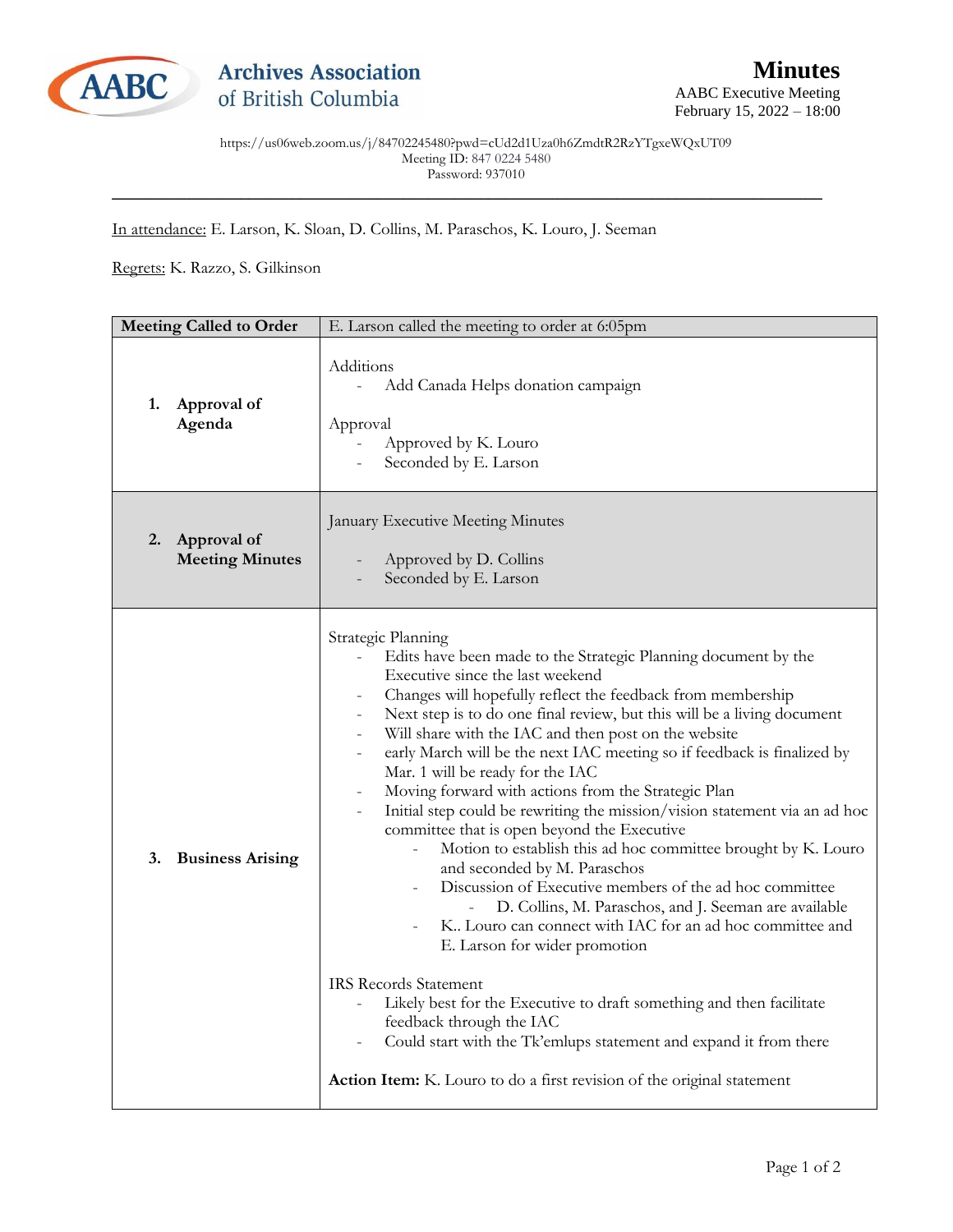

https://us06web.zoom.us/j/84702245480?pwd=cUd2d1Uza0h6ZmdtR2RzYTgxeWQxUT09 Meeting ID: 847 0224 5480 Password: 937010

\_\_\_\_\_\_\_\_\_\_\_\_\_\_\_\_\_\_\_\_\_\_\_\_\_\_\_\_\_\_\_\_\_\_\_\_\_\_\_\_\_\_\_\_\_\_\_\_\_\_\_\_\_\_\_\_\_\_\_\_\_\_\_\_\_\_\_\_\_\_\_\_\_\_\_\_\_\_\_\_\_\_\_

In attendance: E. Larson, K. Sloan, D. Collins, M. Paraschos, K. Louro, J. Seeman

Regrets: K. Razzo, S. Gilkinson

| <b>Meeting Called to Order</b>              | E. Larson called the meeting to order at 6:05pm                                                                                                                                                                                                                                                                                                                                                                                                                                                                                                                                                                                                                                                                                                                                                                                                                                                                                                                                                                                                                                                                                                                                                                                            |
|---------------------------------------------|--------------------------------------------------------------------------------------------------------------------------------------------------------------------------------------------------------------------------------------------------------------------------------------------------------------------------------------------------------------------------------------------------------------------------------------------------------------------------------------------------------------------------------------------------------------------------------------------------------------------------------------------------------------------------------------------------------------------------------------------------------------------------------------------------------------------------------------------------------------------------------------------------------------------------------------------------------------------------------------------------------------------------------------------------------------------------------------------------------------------------------------------------------------------------------------------------------------------------------------------|
| Approval of<br>1.<br>Agenda                 | Additions<br>Add Canada Helps donation campaign<br>Approval<br>Approved by K. Louro<br>Seconded by E. Larson                                                                                                                                                                                                                                                                                                                                                                                                                                                                                                                                                                                                                                                                                                                                                                                                                                                                                                                                                                                                                                                                                                                               |
| Approval of<br>2.<br><b>Meeting Minutes</b> | January Executive Meeting Minutes<br>Approved by D. Collins<br>Seconded by E. Larson                                                                                                                                                                                                                                                                                                                                                                                                                                                                                                                                                                                                                                                                                                                                                                                                                                                                                                                                                                                                                                                                                                                                                       |
| 3.<br><b>Business Arising</b>               | Strategic Planning<br>Edits have been made to the Strategic Planning document by the<br>Executive since the last weekend<br>Changes will hopefully reflect the feedback from membership<br>Next step is to do one final review, but this will be a living document<br>Will share with the IAC and then post on the website<br>early March will be the next IAC meeting so if feedback is finalized by<br>Mar. 1 will be ready for the IAC<br>Moving forward with actions from the Strategic Plan<br>Initial step could be rewriting the mission/vision statement via an ad hoc<br>committee that is open beyond the Executive<br>Motion to establish this ad hoc committee brought by K. Louro<br>and seconded by M. Paraschos<br>Discussion of Executive members of the ad hoc committee<br>D. Collins, M. Paraschos, and J. Seeman are available<br>K. Louro can connect with IAC for an ad hoc committee and<br>E. Larson for wider promotion<br><b>IRS Records Statement</b><br>Likely best for the Executive to draft something and then facilitate<br>feedback through the IAC<br>Could start with the Tk'emlups statement and expand it from there<br><b>Action Item:</b> K. Louro to do a first revision of the original statement |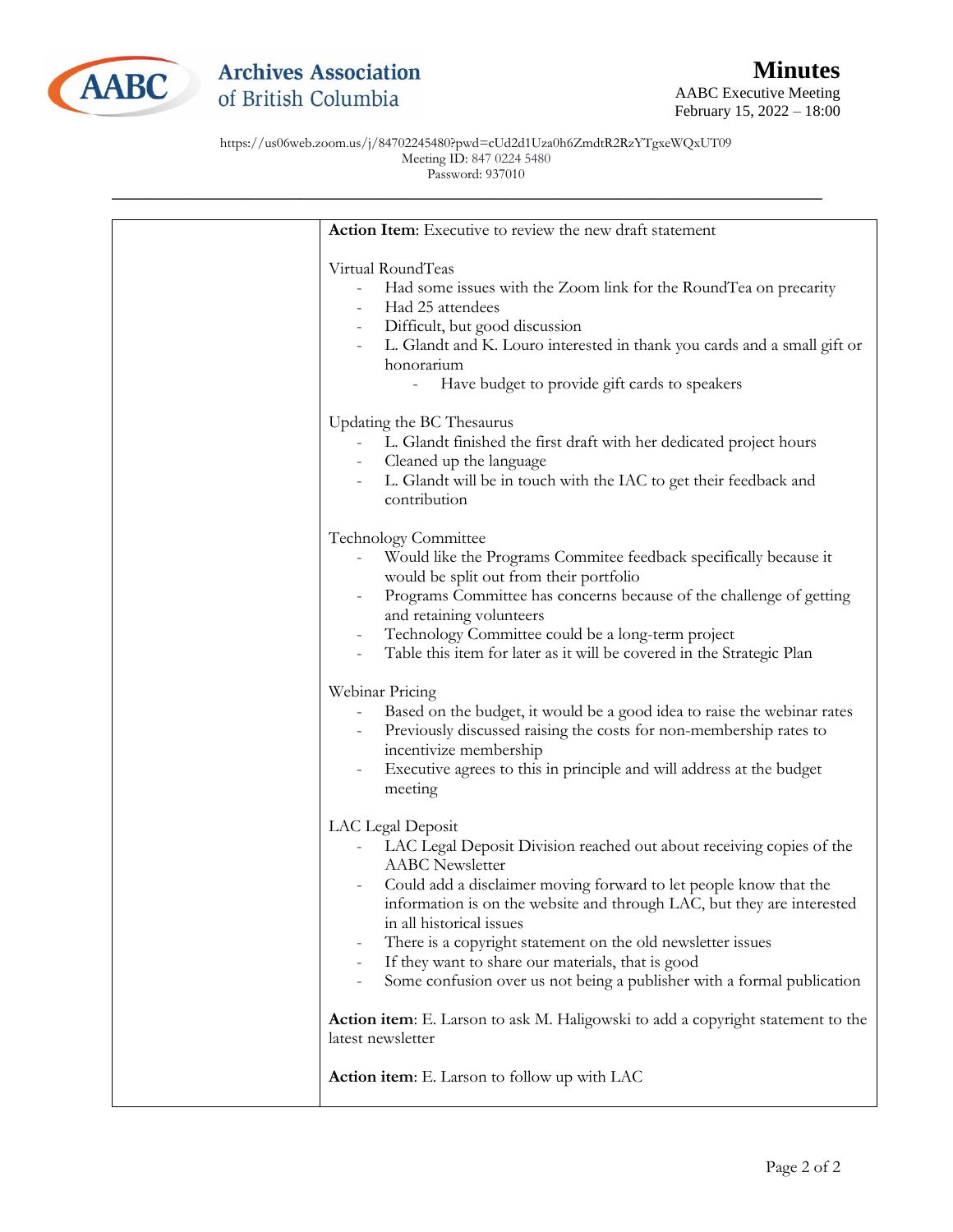

https://us06web.zoom.us/j/84702245480?pwd=cUd2d1Uza0h6ZmdtR2RzYTgxeWQxUT09 Meeting ID: 847 0224 5480 Password: 937010

| Action Item: Executive to review the new draft statement                                                                                                                                                                                                                                                                                                                                                                                                                                     |
|----------------------------------------------------------------------------------------------------------------------------------------------------------------------------------------------------------------------------------------------------------------------------------------------------------------------------------------------------------------------------------------------------------------------------------------------------------------------------------------------|
| Virtual RoundTeas<br>Had some issues with the Zoom link for the RoundTea on precarity<br>Had 25 attendees<br>Difficult, but good discussion<br>L. Glandt and K. Louro interested in thank you cards and a small gift or<br>honorarium<br>Have budget to provide gift cards to speakers                                                                                                                                                                                                       |
| Updating the BC Thesaurus<br>L. Glandt finished the first draft with her dedicated project hours<br>Cleaned up the language<br>L. Glandt will be in touch with the IAC to get their feedback and<br>contribution                                                                                                                                                                                                                                                                             |
| <b>Technology Committee</b><br>Would like the Programs Commitee feedback specifically because it<br>would be split out from their portfolio<br>Programs Committee has concerns because of the challenge of getting<br>and retaining volunteers<br>Technology Committee could be a long-term project<br>Table this item for later as it will be covered in the Strategic Plan                                                                                                                 |
| Webinar Pricing<br>Based on the budget, it would be a good idea to raise the webinar rates<br>Previously discussed raising the costs for non-membership rates to<br>incentivize membership<br>Executive agrees to this in principle and will address at the budget<br>meeting                                                                                                                                                                                                                |
| LAC Legal Deposit<br>LAC Legal Deposit Division reached out about receiving copies of the<br><b>AABC</b> Newsletter<br>Could add a disclaimer moving forward to let people know that the<br>information is on the website and through LAC, but they are interested<br>in all historical issues<br>There is a copyright statement on the old newsletter issues<br>If they want to share our materials, that is good<br>Some confusion over us not being a publisher with a formal publication |
| Action item: E. Larson to ask M. Haligowski to add a copyright statement to the<br>latest newsletter                                                                                                                                                                                                                                                                                                                                                                                         |
| <b>Action item:</b> E. Larson to follow up with LAC                                                                                                                                                                                                                                                                                                                                                                                                                                          |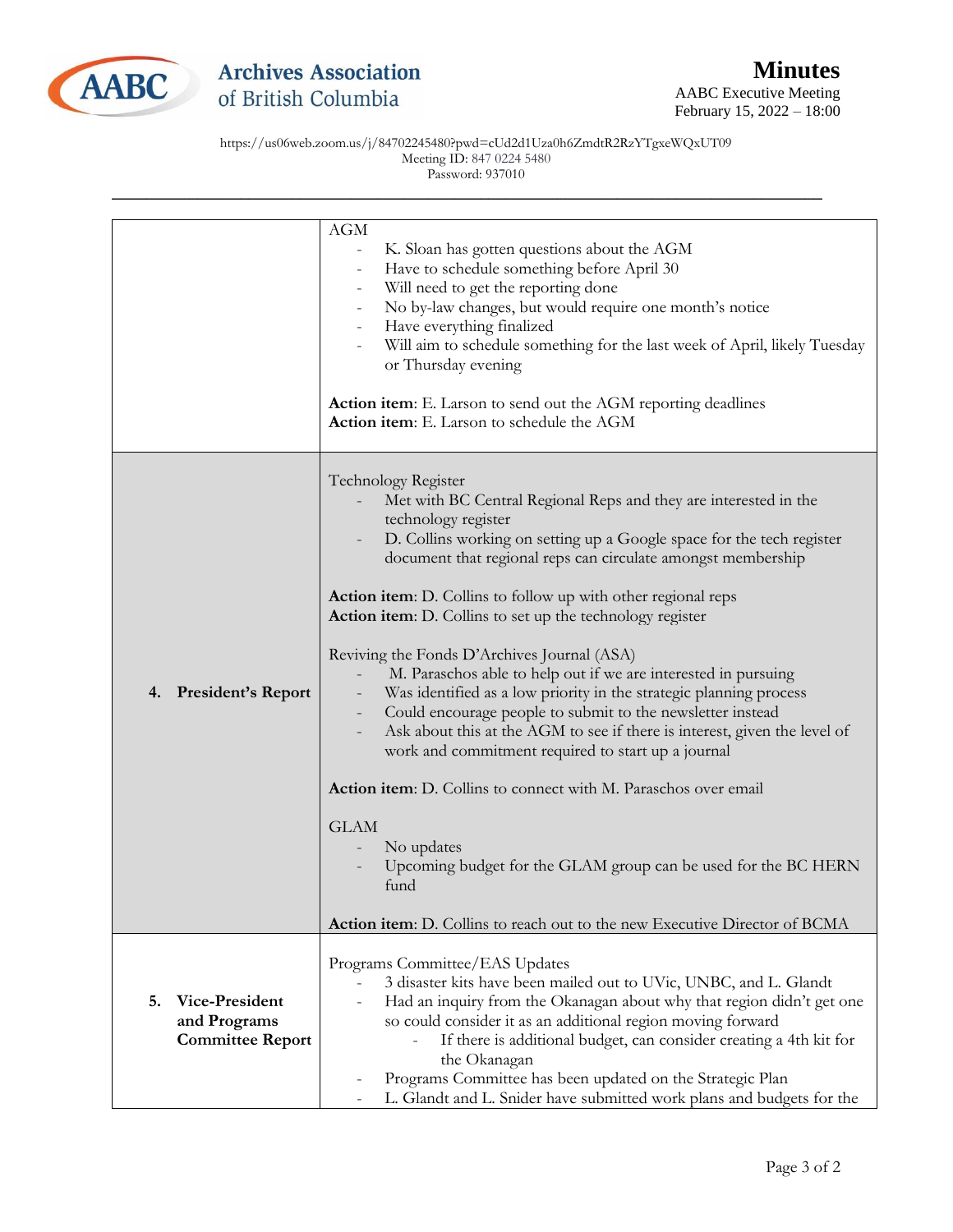

https://us06web.zoom.us/j/84702245480?pwd=cUd2d1Uza0h6ZmdtR2RzYTgxeWQxUT09 Meeting ID: 847 0224 5480 Password: 937010

|                                                                 | AGM<br>K. Sloan has gotten questions about the AGM<br>$\sim$<br>Have to schedule something before April 30<br>$\blacksquare$<br>Will need to get the reporting done<br>No by-law changes, but would require one month's notice<br>Have everything finalized<br>Will aim to schedule something for the last week of April, likely Tuesday                                                                                                                                                                                                                                                                                                                                                                                                                                                                                                                                                                                                                                                                                                     |
|-----------------------------------------------------------------|----------------------------------------------------------------------------------------------------------------------------------------------------------------------------------------------------------------------------------------------------------------------------------------------------------------------------------------------------------------------------------------------------------------------------------------------------------------------------------------------------------------------------------------------------------------------------------------------------------------------------------------------------------------------------------------------------------------------------------------------------------------------------------------------------------------------------------------------------------------------------------------------------------------------------------------------------------------------------------------------------------------------------------------------|
|                                                                 | or Thursday evening<br><b>Action item:</b> E. Larson to send out the AGM reporting deadlines<br>Action item: E. Larson to schedule the AGM                                                                                                                                                                                                                                                                                                                                                                                                                                                                                                                                                                                                                                                                                                                                                                                                                                                                                                   |
| <b>President's Report</b><br>4.                                 | Technology Register<br>Met with BC Central Regional Reps and they are interested in the<br>technology register<br>D. Collins working on setting up a Google space for the tech register<br>document that regional reps can circulate amongst membership<br>Action item: D. Collins to follow up with other regional reps<br>Action item: D. Collins to set up the technology register<br>Reviving the Fonds D'Archives Journal (ASA)<br>M. Paraschos able to help out if we are interested in pursuing<br>Was identified as a low priority in the strategic planning process<br>Could encourage people to submit to the newsletter instead<br>Ask about this at the AGM to see if there is interest, given the level of<br>work and commitment required to start up a journal<br>Action item: D. Collins to connect with M. Paraschos over email<br><b>GLAM</b><br>No updates<br>Upcoming budget for the GLAM group can be used for the BC HERN<br>fund<br><b>Action item:</b> D. Collins to reach out to the new Executive Director of BCMA |
| Vice-President<br>5.<br>and Programs<br><b>Committee Report</b> | Programs Committee/EAS Updates<br>3 disaster kits have been mailed out to UVic, UNBC, and L. Glandt<br>Had an inquiry from the Okanagan about why that region didn't get one<br>$\qquad \qquad -$<br>so could consider it as an additional region moving forward<br>If there is additional budget, can consider creating a 4th kit for<br>the Okanagan<br>Programs Committee has been updated on the Strategic Plan<br>L. Glandt and L. Snider have submitted work plans and budgets for the                                                                                                                                                                                                                                                                                                                                                                                                                                                                                                                                                 |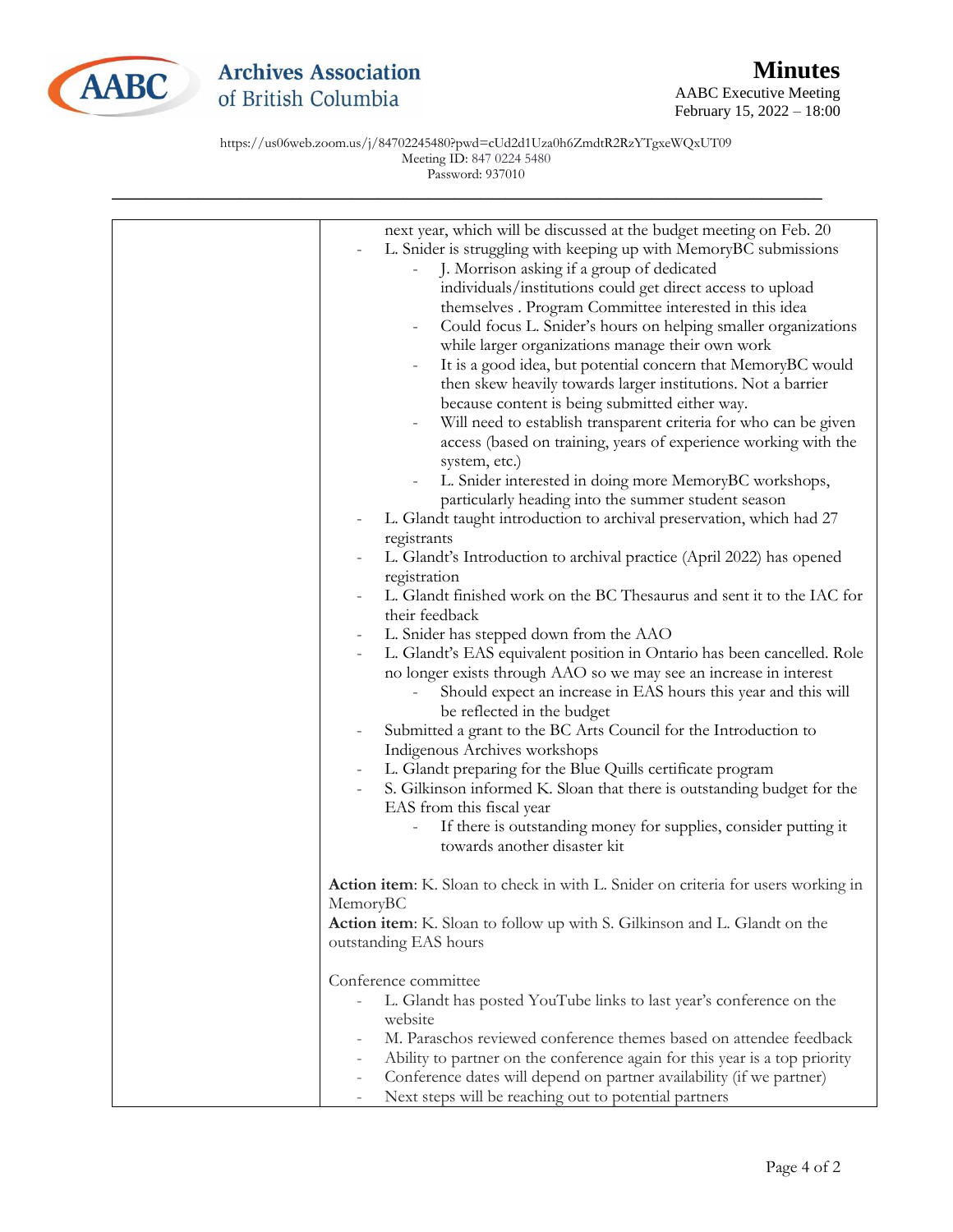

## **Archives Association** of British Columbia

AABC Executive Meeting February 15, 2022 – 18:00

https://us06web.zoom.us/j/84702245480?pwd=cUd2d1Uza0h6ZmdtR2RzYTgxeWQxUT09 Meeting ID: 847 0224 5480 Password: 937010

| next year, which will be discussed at the budget meeting on Feb. 20<br>L. Snider is struggling with keeping up with MemoryBC submissions<br>J. Morrison asking if a group of dedicated<br>individuals/institutions could get direct access to upload<br>themselves . Program Committee interested in this idea<br>Could focus L. Snider's hours on helping smaller organizations<br>$\qquad \qquad -$<br>while larger organizations manage their own work<br>It is a good idea, but potential concern that MemoryBC would<br>$\overline{\phantom{0}}$<br>then skew heavily towards larger institutions. Not a barrier<br>because content is being submitted either way.<br>Will need to establish transparent criteria for who can be given<br>access (based on training, years of experience working with the<br>system, etc.)<br>L. Snider interested in doing more MemoryBC workshops,<br>$\qquad \qquad -$<br>particularly heading into the summer student season<br>L. Glandt taught introduction to archival preservation, which had 27<br>registrants<br>L. Glandt's Introduction to archival practice (April 2022) has opened<br>registration<br>L. Glandt finished work on the BC Thesaurus and sent it to the IAC for<br>their feedback<br>L. Snider has stepped down from the AAO<br>$\overline{\phantom{a}}$<br>L. Glandt's EAS equivalent position in Ontario has been cancelled. Role<br>no longer exists through AAO so we may see an increase in interest<br>Should expect an increase in EAS hours this year and this will<br>be reflected in the budget<br>Submitted a grant to the BC Arts Council for the Introduction to<br>Indigenous Archives workshops<br>L. Glandt preparing for the Blue Quills certificate program<br>S. Gilkinson informed K. Sloan that there is outstanding budget for the<br>EAS from this fiscal year<br>If there is outstanding money for supplies, consider putting it |
|--------------------------------------------------------------------------------------------------------------------------------------------------------------------------------------------------------------------------------------------------------------------------------------------------------------------------------------------------------------------------------------------------------------------------------------------------------------------------------------------------------------------------------------------------------------------------------------------------------------------------------------------------------------------------------------------------------------------------------------------------------------------------------------------------------------------------------------------------------------------------------------------------------------------------------------------------------------------------------------------------------------------------------------------------------------------------------------------------------------------------------------------------------------------------------------------------------------------------------------------------------------------------------------------------------------------------------------------------------------------------------------------------------------------------------------------------------------------------------------------------------------------------------------------------------------------------------------------------------------------------------------------------------------------------------------------------------------------------------------------------------------------------------------------------------------------------------------------------------------------------------------------------------------------------|
| towards another disaster kit                                                                                                                                                                                                                                                                                                                                                                                                                                                                                                                                                                                                                                                                                                                                                                                                                                                                                                                                                                                                                                                                                                                                                                                                                                                                                                                                                                                                                                                                                                                                                                                                                                                                                                                                                                                                                                                                                             |
|                                                                                                                                                                                                                                                                                                                                                                                                                                                                                                                                                                                                                                                                                                                                                                                                                                                                                                                                                                                                                                                                                                                                                                                                                                                                                                                                                                                                                                                                                                                                                                                                                                                                                                                                                                                                                                                                                                                          |
| Action item: K. Sloan to check in with L. Snider on criteria for users working in<br>MemoryBC<br>Action item: K. Sloan to follow up with S. Gilkinson and L. Glandt on the<br>outstanding EAS hours                                                                                                                                                                                                                                                                                                                                                                                                                                                                                                                                                                                                                                                                                                                                                                                                                                                                                                                                                                                                                                                                                                                                                                                                                                                                                                                                                                                                                                                                                                                                                                                                                                                                                                                      |
| Conference committee                                                                                                                                                                                                                                                                                                                                                                                                                                                                                                                                                                                                                                                                                                                                                                                                                                                                                                                                                                                                                                                                                                                                                                                                                                                                                                                                                                                                                                                                                                                                                                                                                                                                                                                                                                                                                                                                                                     |
| L. Glandt has posted YouTube links to last year's conference on the                                                                                                                                                                                                                                                                                                                                                                                                                                                                                                                                                                                                                                                                                                                                                                                                                                                                                                                                                                                                                                                                                                                                                                                                                                                                                                                                                                                                                                                                                                                                                                                                                                                                                                                                                                                                                                                      |
| website                                                                                                                                                                                                                                                                                                                                                                                                                                                                                                                                                                                                                                                                                                                                                                                                                                                                                                                                                                                                                                                                                                                                                                                                                                                                                                                                                                                                                                                                                                                                                                                                                                                                                                                                                                                                                                                                                                                  |
| M. Paraschos reviewed conference themes based on attendee feedback<br>Ability to partner on the conference again for this year is a top priority                                                                                                                                                                                                                                                                                                                                                                                                                                                                                                                                                                                                                                                                                                                                                                                                                                                                                                                                                                                                                                                                                                                                                                                                                                                                                                                                                                                                                                                                                                                                                                                                                                                                                                                                                                         |
| Conference dates will depend on partner availability (if we partner)<br>-                                                                                                                                                                                                                                                                                                                                                                                                                                                                                                                                                                                                                                                                                                                                                                                                                                                                                                                                                                                                                                                                                                                                                                                                                                                                                                                                                                                                                                                                                                                                                                                                                                                                                                                                                                                                                                                |
| Next steps will be reaching out to potential partners<br>$\overline{\phantom{0}}$                                                                                                                                                                                                                                                                                                                                                                                                                                                                                                                                                                                                                                                                                                                                                                                                                                                                                                                                                                                                                                                                                                                                                                                                                                                                                                                                                                                                                                                                                                                                                                                                                                                                                                                                                                                                                                        |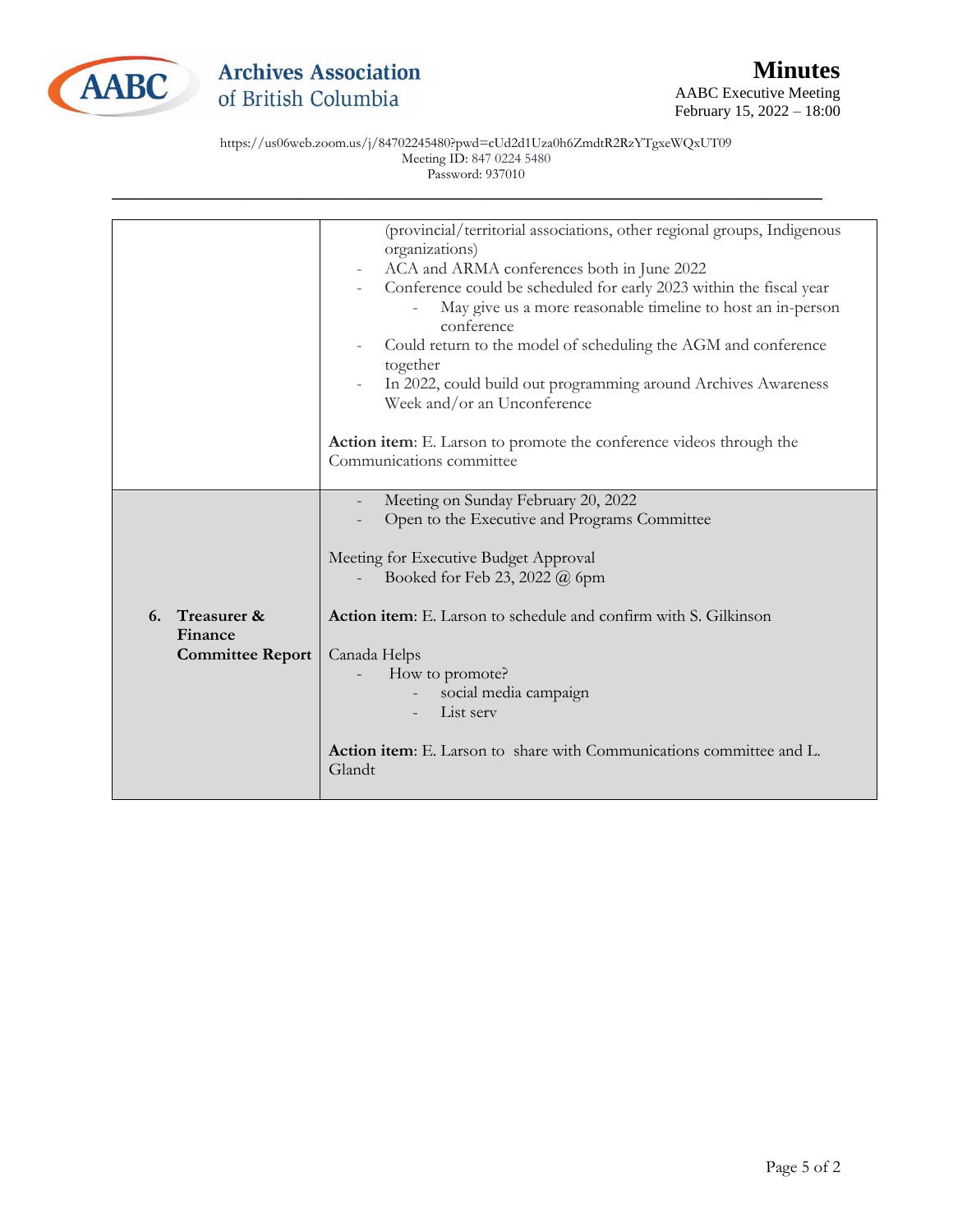

February 15, 2022 – 18:00

https://us06web.zoom.us/j/84702245480?pwd=cUd2d1Uza0h6ZmdtR2RzYTgxeWQxUT09 Meeting ID: 847 0224 5480 Password: 937010

|                                                      | (provincial/territorial associations, other regional groups, Indigenous<br>organizations)<br>ACA and ARMA conferences both in June 2022<br>Conference could be scheduled for early 2023 within the fiscal year<br>May give us a more reasonable timeline to host an in-person<br>conference<br>Could return to the model of scheduling the AGM and conference<br>together |
|------------------------------------------------------|---------------------------------------------------------------------------------------------------------------------------------------------------------------------------------------------------------------------------------------------------------------------------------------------------------------------------------------------------------------------------|
|                                                      | In 2022, could build out programming around Archives Awareness<br>Week and/or an Unconference                                                                                                                                                                                                                                                                             |
|                                                      | Action item: E. Larson to promote the conference videos through the<br>Communications committee                                                                                                                                                                                                                                                                           |
|                                                      | Meeting on Sunday February 20, 2022<br>Open to the Executive and Programs Committee<br>Meeting for Executive Budget Approval<br>Booked for Feb 23, 2022 @ 6pm                                                                                                                                                                                                             |
| 6. Treasurer &<br>Finance<br><b>Committee Report</b> | <b>Action item:</b> E. Larson to schedule and confirm with S. Gilkinson<br>Canada Helps<br>How to promote?<br>social media campaign<br>List serv                                                                                                                                                                                                                          |
|                                                      | Action item: E. Larson to share with Communications committee and L.<br>Glandt                                                                                                                                                                                                                                                                                            |